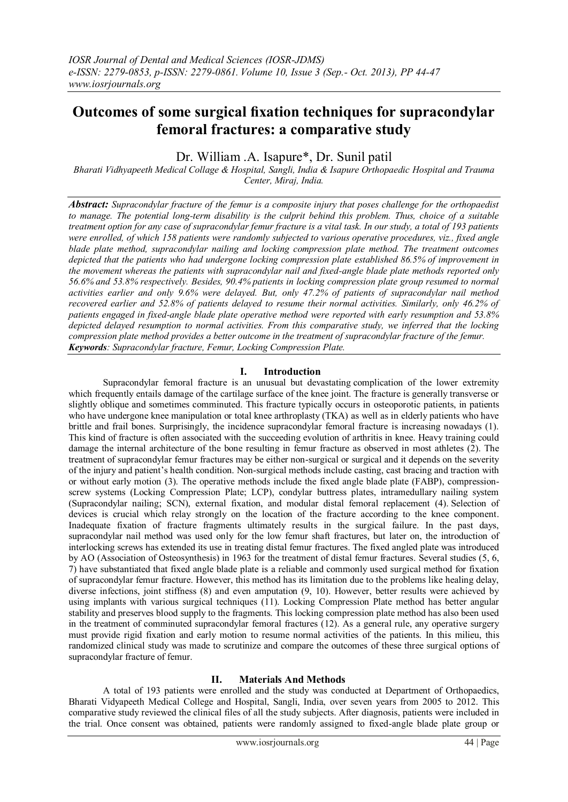# **Outcomes of some surgical fixation techniques for supracondylar femoral fractures: a comparative study**

Dr. William .A. Isapure\*, Dr. Sunil patil

*Bharati Vidhyapeeth Medical Collage & Hospital, Sangli, India & Isapure Orthopaedic Hospital and Trauma Center, Miraj, India.*

*Abstract: Supracondylar fracture of the femur is a composite injury that poses challenge for the orthopaedist to manage. The potential long-term disability is the culprit behind this problem. Thus, choice of a suitable treatment option for any case of supracondylar femur fracture is a vital task. In our study, a total of 193 patients were enrolled, of which 158 patients were randomly subjected to various operative procedures, viz., fixed angle blade plate method, supracondylar nailing and locking compression plate method. The treatment outcomes depicted that the patients who had undergone locking compression plate established 86.5% of improvement in the movement whereas the patients with supracondylar nail and fixed-angle blade plate methods reported only 56.6% and 53.8% respectively. Besides, 90.4% patients in locking compression plate group resumed to normal activities earlier and only 9.6% were delayed. But, only 47.2% of patients of supracondylar nail method recovered earlier and 52.8% of patients delayed to resume their normal activities. Similarly, only 46.2% of patients engaged in fixed-angle blade plate operative method were reported with early resumption and 53.8% depicted delayed resumption to normal activities. From this comparative study, we inferred that the locking compression plate method provides a better outcome in the treatment of supracondylar fracture of the femur. Keywords: Supracondylar fracture, Femur, Locking Compression Plate.*

# **I. Introduction**

Supracondylar femoral fracture is an unusual but devastating complication of the lower extremity which frequently entails damage of the cartilage surface of the knee joint. The fracture is generally transverse or slightly oblique and sometimes comminuted. This fracture typically occurs in osteoporotic patients, in patients who have undergone knee manipulation or total knee arthroplasty (TKA) as well as in elderly patients who have brittle and frail bones. Surprisingly, the incidence supracondylar femoral fracture is increasing nowadays (1). This kind of fracture is often associated with the succeeding evolution of arthritis in knee. Heavy training could damage the internal architecture of the bone resulting in femur fracture as observed in most athletes (2). The treatment of supracondylar femur fractures may be either non-surgical or surgical and it depends on the severity of the injury and patient's health condition. Non-surgical methods include casting, cast bracing and traction with or without early motion (3). The operative methods include the fixed angle blade plate (FABP), compressionscrew systems (Locking Compression Plate; LCP), condylar buttress plates, intramedullary nailing system (Supracondylar nailing; SCN), external fixation, and modular distal femoral replacement (4). Selection of devices is crucial which relay strongly on the location of the fracture according to the knee component. Inadequate fixation of fracture fragments ultimately results in the surgical failure. In the past days, supracondylar nail method was used only for the low femur shaft fractures, but later on, the introduction of interlocking screws has extended its use in treating distal femur fractures. The fixed angled plate was introduced by AO (Association of Osteosynthesis) in 1963 for the treatment of distal femur fractures. Several studies (5, 6, 7) have substantiated that fixed angle blade plate is a reliable and commonly used surgical method for fixation of supracondylar femur fracture. However, this method has its limitation due to the problems like healing delay, diverse infections, joint stiffness (8) and even amputation (9, 10). However, better results were achieved by using implants with various surgical techniques (11). Locking Compression Plate method has better angular stability and preserves blood supply to the fragments. This locking compression plate method has also been used in the treatment of comminuted supracondylar femoral fractures (12). As a general rule, any operative surgery must provide rigid fixation and early motion to resume normal activities of the patients. In this milieu, this randomized clinical study was made to scrutinize and compare the outcomes of these three surgical options of supracondylar fracture of femur.

# **II. Materials And Methods**

A total of 193 patients were enrolled and the study was conducted at Department of Orthopaedics, Bharati Vidyapeeth Medical College and Hospital, Sangli, India, over seven years from 2005 to 2012. This comparative study reviewed the clinical files of all the study subjects. After diagnosis, patients were included in the trial. Once consent was obtained, patients were randomly assigned to fixed-angle blade plate group or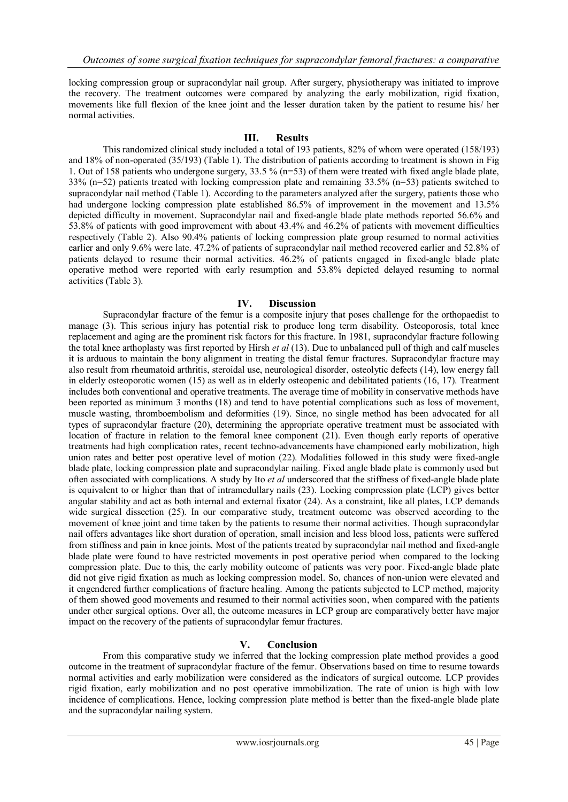locking compression group or supracondylar nail group. After surgery, physiotherapy was initiated to improve the recovery. The treatment outcomes were compared by analyzing the early mobilization, rigid fixation, movements like full flexion of the knee joint and the lesser duration taken by the patient to resume his/ her normal activities.

### **III. Results**

This randomized clinical study included a total of 193 patients, 82% of whom were operated (158/193) and 18% of non-operated (35/193) (Table 1). The distribution of patients according to treatment is shown in Fig 1. Out of 158 patients who undergone surgery, 33.5 % (n=53) of them were treated with fixed angle blade plate, 33% (n=52) patients treated with locking compression plate and remaining 33.5% (n=53) patients switched to supracondylar nail method (Table 1). According to the parameters analyzed after the surgery, patients those who had undergone locking compression plate established 86.5% of improvement in the movement and 13.5% depicted difficulty in movement. Supracondylar nail and fixed-angle blade plate methods reported 56.6% and 53.8% of patients with good improvement with about 43.4% and 46.2% of patients with movement difficulties respectively (Table 2). Also 90.4% patients of locking compression plate group resumed to normal activities earlier and only 9.6% were late. 47.2% of patients of supracondylar nail method recovered earlier and 52.8% of patients delayed to resume their normal activities. 46.2% of patients engaged in fixed-angle blade plate operative method were reported with early resumption and 53.8% depicted delayed resuming to normal activities (Table 3).

### **IV. Discussion**

Supracondylar fracture of the femur is a composite injury that poses challenge for the orthopaedist to manage (3). This serious injury has potential risk to produce long term disability. Osteoporosis, total knee replacement and aging are the prominent risk factors for this fracture. In 1981, supracondylar fracture following the total knee arthoplasty was first reported by Hirsh *et al* (13). Due to unbalanced pull of thigh and calf muscles it is arduous to maintain the bony alignment in treating the distal femur fractures. Supracondylar fracture may also result from rheumatoid arthritis, steroidal use, neurological disorder, osteolytic defects (14), low energy fall in elderly osteoporotic women (15) as well as in elderly osteopenic and debilitated patients (16, 17). Treatment includes both conventional and operative treatments. The average time of mobility in conservative methods have been reported as minimum 3 months (18) and tend to have potential complications such as loss of movement, muscle wasting, thromboembolism and deformities (19). Since, no single method has been advocated for all types of supracondylar fracture (20), determining the appropriate operative treatment must be associated with location of fracture in relation to the femoral knee component (21). Even though early reports of operative treatments had high complication rates, recent techno-advancements have championed early mobilization, high union rates and better post operative level of motion (22). Modalities followed in this study were fixed-angle blade plate, locking compression plate and supracondylar nailing. Fixed angle blade plate is commonly used but often associated with complications. A study by Ito *et al* underscored that the stiffness of fixed-angle blade plate is equivalent to or higher than that of intramedullary nails (23). Locking compression plate (LCP) gives better angular stability and act as both internal and external fixator (24). As a constraint, like all plates, LCP demands wide surgical dissection (25). In our comparative study, treatment outcome was observed according to the movement of knee joint and time taken by the patients to resume their normal activities. Though supracondylar nail offers advantages like short duration of operation, small incision and less blood loss, patients were suffered from stiffness and pain in knee joints. Most of the patients treated by supracondylar nail method and fixed-angle blade plate were found to have restricted movements in post operative period when compared to the locking compression plate. Due to this, the early mobility outcome of patients was very poor. Fixed-angle blade plate did not give rigid fixation as much as locking compression model. So, chances of non-union were elevated and it engendered further complications of fracture healing. Among the patients subjected to LCP method, majority of them showed good movements and resumed to their normal activities soon, when compared with the patients under other surgical options. Over all, the outcome measures in LCP group are comparatively better have major impact on the recovery of the patients of supracondylar femur fractures.

# **V. Conclusion**

From this comparative study we inferred that the locking compression plate method provides a good outcome in the treatment of supracondylar fracture of the femur. Observations based on time to resume towards normal activities and early mobilization were considered as the indicators of surgical outcome. LCP provides rigid fixation, early mobilization and no post operative immobilization. The rate of union is high with low incidence of complications. Hence, locking compression plate method is better than the fixed-angle blade plate and the supracondylar nailing system.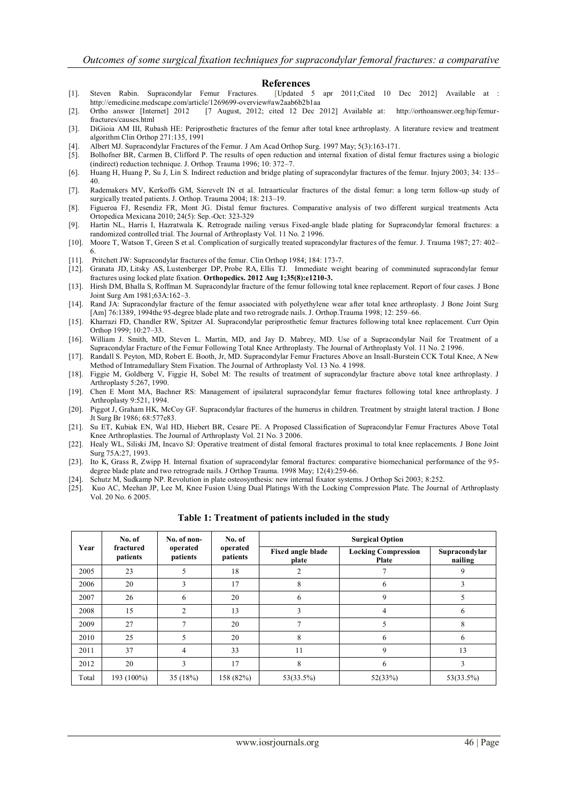- **References**<br>[Updated 5 apr [1]. Steven Rabin. Supracondylar Femur Fractures. [Updated 5 apr 2011;Cited 10 Dec 2012] Available at : http://emedicine.medscape.com/article/1269699-overview#aw2aab6b2b1aa
- [2]. Ortho answer [Internet] 2012 [7 August, 2012; cited 12 Dec 2012] Available at: http://orthoanswer.org/hip/femurfractures/causes.html
- [3]. DiGioia AM III, Rubash HE: Periprosthetic fractures of the femur after total knee arthroplasty. A literature review and treatment algorithm Clin Orthop 271:135, 1991
- [4]. Albert MJ. Supracondylar Fractures of the Femur. J Am Acad [Orthop](http://www.ncbi.nlm.nih.gov/pubmed/10797218) Surg. 1997 May; 5(3):163-171.
- [5]. Bolhofner BR, Carmen B, Clifford P. The results of open reduction and internal fixation of distal femur fractures using a biologic (indirect) reduction technique. J. Orthop. Trauma 1996; 10: 372–7.
- [6]. Huang H, Huang P, Su J, Lin S. Indirect reduction and bridge plating of supracondylar fractures of the femur. Injury 2003; 34: 135– 40.
- [7]. Rademakers MV, Kerkoffs GM, Sierevelt IN et al. Intraarticular fractures of the distal femur: a long term follow-up study of surgically treated patients. J. Orthop. Trauma 2004; 18: 213–19.
- [8]. Figueroa FJ, Resendiz FR, Mont JG. Distal femur fractures. Comparative analysis of two different surgical treatments Acta Ortopedica Mexicana 2010; 24(5): Sep.-Oct: 323-329
- [9]. Hartin NL, Harris I, Hazratwala K. Retrograde nailing versus Fixed-angle blade plating for Supracondylar femoral fractures: a randomized controlled trial. The Journal of Arthroplasty Vol. 11 No. 2 1996.
- [10]. Moore T, Watson T, Green S et al. Complication of surgically treated supracondylar fractures of the femur. J. Trauma 1987; 27: 402– 6.
- [11]. Pritchett JW: Supracondylar fractures of the femur. Clin Orthop 1984; 184: 173-7.
- [12]. Granata JD, Litsky AS, Lustenberger DP, Probe RA, Ellis TJ. Immediate weight bearing of comminuted supracondylar femur fractures using locked plate fixation. **Orthopedics. 2012 Aug 1;35(8):e1210-3.**
- [13]. Hirsh DM, Bhalla S, Roffman M. Supracondylar fracture of the femur following total knee replacement. Report of four cases. J Bone Joint Surg Am 1981;63A:162–3.
- [14]. Rand JA: Supracondylar fracture of the femur associated with polyethylene wear after total knee arthroplasty. J Bone Joint Surg [Am] 76:1389, 1994the 95-degree blade plate and two retrograde nails. J. Orthop.Trauma 1998; 12: 259–66.
- [15]. Kharrazi FD, Chandler RW, Spitzer AI. Supracondylar periprosthetic femur fractures following total knee replacement. Curr Opin Orthop 1999; 10:27–33.
- [16]. William J. Smith, MD, Steven L. Martin, MD, and Jay D. Mabrey, MD. Use of a Supracondylar Nail for Treatment of a Supracondylar Fracture of the Femur Following Total Knee Arthroplasty. The Journal of Arthroplasty Vol. 11 No. 2 1996.
- [17]. Randall S. Peyton, MD, Robert E. Booth, Jr, MD. Supracondylar Femur Fractures Above an Insall-Burstein CCK Total Knee, A New Method of Intramedullary Stem Fixation. The Journal of Arthroplasty Vol. 13 No. 4 1998.
- [18]. Figgie M, Goldberg V, Figgie H, Sobel M: The results of treatment of supracondylar fracture above total knee arthroplasty. J Arthroplasty 5:267, 1990.
- [19]. Chen E Mont MA, Bachner RS: Management of ipsilateral supracondylar femur fractures following total knee arthroplasty. J Arthroplasty 9:521, 1994.
- [20]. Piggot J, Graham HK, McCoy GF. Supracondylar fractures of the humerus in children. Treatment by straight lateral traction. J Bone Jt Surg Br 1986; 68:577e83.
- [21]. Su ET, Kubiak EN, Wal HD, Hiebert BR, Cesare PE. A Proposed Classification of Supracondylar Femur Fractures Above Total Knee Arthroplasties. The Journal of Arthroplasty Vol. 21 No. 3 2006.
- [22]. Healy WL, Siliski JM, Incavo SJ: Operative treatment of distal femoral fractures proximal to total knee replacements. J Bone Joint Surg 75A:27, 1993.
- [23]. Ito K, Grass R, Zwipp H. Internal fixation of supracondylar femoral fractures: comparative biomechanical performance of the 95 degree blade plate and two retrograde nails. J Orthop Trauma. 1998 May; 12(4):259-66.
- [24]. Schutz M, Sudkamp NP. Revolution in plate osteosynthesis: new internal fixator systems. J Orthop Sci 2003; 8:252.
- [25]. Kuo AC, Meehan JP, Lee M, Knee Fusion Using Dual Platings With the Locking Compression Plate. The Journal of Arthroplasty Vol. 20 No. 6 2005.

| Year  | No. of<br>fractured<br>patients | No. of non-<br>operated<br>patients | No. of<br>operated<br>patients | <b>Surgical Option</b>     |                                            |                          |
|-------|---------------------------------|-------------------------------------|--------------------------------|----------------------------|--------------------------------------------|--------------------------|
|       |                                 |                                     |                                | Fixed angle blade<br>plate | <b>Locking Compression</b><br><b>Plate</b> | Supracondylar<br>nailing |
| 2005  | 23                              | 5                                   | 18                             | 2                          |                                            | 9                        |
| 2006  | 20                              | 3                                   | 17                             | 8                          | 6                                          |                          |
| 2007  | 26                              | 6                                   | 20                             | 6                          | 9                                          | 5                        |
| 2008  | 15                              | $\mathfrak{D}$                      | 13                             | 3                          | 4                                          | 6                        |
| 2009  | 27                              | ⇁                                   | 20                             | 7                          |                                            | 8                        |
| 2010  | 25                              | 5                                   | 20                             | 8                          | 6                                          | 6                        |
| 2011  | 37                              | 4                                   | 33                             | 11                         | 9                                          | 13                       |
| 2012  | 20                              | $\mathcal{F}$                       | 17                             | 8                          | 6                                          | 3                        |
| Total | 193 (100%)                      | 35 (18%)                            | 158 (82%)                      | 53(33.5%)                  | 52(33%)                                    | 53(33.5%)                |

**Table 1: Treatment of patients included in the study**